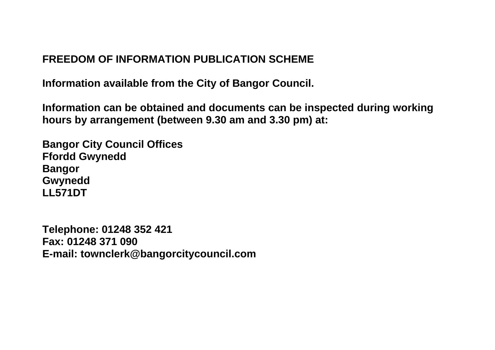## **FREEDOM OF INFORMATION PUBLICATION SCHEME**

**Information available from the City of Bangor Council.**

**Information can be obtained and documents can be inspected during working hours by arrangement (between 9.30 am and 3.30 pm) at:**

**Bangor City Council Offices Ffordd Gwynedd Bangor Gwynedd LL571DT**

**Telephone: 01248 352 421 Fax: 01248 371 090 E-mail: townclerk@bangorcitycouncil.com**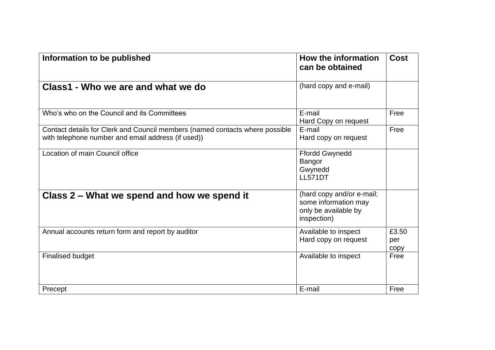| Information to be published                                                                                                        | How the information<br>can be obtained                                                   | <b>Cost</b>          |
|------------------------------------------------------------------------------------------------------------------------------------|------------------------------------------------------------------------------------------|----------------------|
| Class1 - Who we are and what we do                                                                                                 | (hard copy and e-mail)                                                                   |                      |
| Who's who on the Council and its Committees                                                                                        | E-mail<br>Hard Copy on request                                                           | Free                 |
| Contact details for Clerk and Council members (named contacts where possible<br>with telephone number and email address (if used)) | E-mail<br>Hard copy on request                                                           | Free                 |
| Location of main Council office                                                                                                    | <b>Ffordd Gwynedd</b><br>Bangor<br>Gwynedd<br><b>LL571DT</b>                             |                      |
| Class 2 - What we spend and how we spend it                                                                                        | (hard copy and/or e-mail;<br>some information may<br>only be available by<br>inspection) |                      |
| Annual accounts return form and report by auditor                                                                                  | Available to inspect<br>Hard copy on request                                             | £3.50<br>per<br>copy |
| <b>Finalised budget</b>                                                                                                            | Available to inspect                                                                     | Free                 |
| Precept                                                                                                                            | E-mail                                                                                   | Free                 |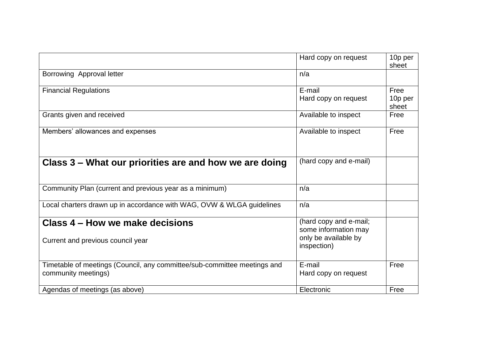|                                                                                                 | Hard copy on request                                                                  | 10p per<br>sheet         |
|-------------------------------------------------------------------------------------------------|---------------------------------------------------------------------------------------|--------------------------|
| Borrowing Approval letter                                                                       | n/a                                                                                   |                          |
| <b>Financial Regulations</b>                                                                    | E-mail<br>Hard copy on request                                                        | Free<br>10p per<br>sheet |
| Grants given and received                                                                       | Available to inspect                                                                  | Free                     |
| Members' allowances and expenses                                                                | Available to inspect                                                                  | Free                     |
| Class 3 – What our priorities are and how we are doing                                          | (hard copy and e-mail)                                                                |                          |
| Community Plan (current and previous year as a minimum)                                         | n/a                                                                                   |                          |
| Local charters drawn up in accordance with WAG, OVW & WLGA guidelines                           | n/a                                                                                   |                          |
| Class 4 – How we make decisions<br>Current and previous council year                            | (hard copy and e-mail;<br>some information may<br>only be available by<br>inspection) |                          |
| Timetable of meetings (Council, any committee/sub-committee meetings and<br>community meetings) | E-mail<br>Hard copy on request                                                        | Free                     |
| Agendas of meetings (as above)                                                                  | Electronic                                                                            | Free                     |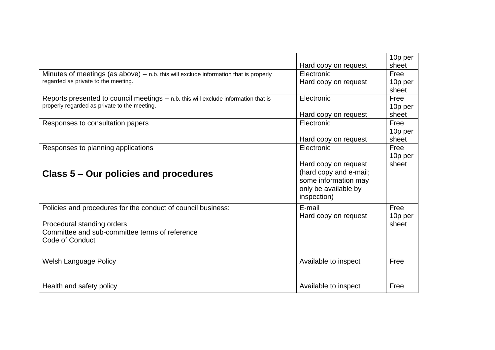|                                                                                        |                        | 10p per |
|----------------------------------------------------------------------------------------|------------------------|---------|
|                                                                                        | Hard copy on request   | sheet   |
| Minutes of meetings (as above) $-$ n.b. this will exclude information that is properly | Electronic             | Free    |
| regarded as private to the meeting.                                                    | Hard copy on request   | 10p per |
|                                                                                        |                        | sheet   |
| Reports presented to council meetings $-$ n.b. this will exclude information that is   | Electronic             | Free    |
| properly regarded as private to the meeting.                                           |                        | 10p per |
|                                                                                        | Hard copy on request   | sheet   |
| Responses to consultation papers                                                       | Electronic             | Free    |
|                                                                                        |                        | 10p per |
|                                                                                        | Hard copy on request   | sheet   |
| Responses to planning applications                                                     | Electronic             | Free    |
|                                                                                        |                        | 10p per |
|                                                                                        | Hard copy on request   | sheet   |
| Class 5 – Our policies and procedures                                                  | (hard copy and e-mail; |         |
|                                                                                        | some information may   |         |
|                                                                                        | only be available by   |         |
|                                                                                        | inspection)            |         |
| Policies and procedures for the conduct of council business:                           | E-mail                 | Free    |
|                                                                                        | Hard copy on request   | 10p per |
| Procedural standing orders                                                             |                        | sheet   |
| Committee and sub-committee terms of reference                                         |                        |         |
| <b>Code of Conduct</b>                                                                 |                        |         |
|                                                                                        |                        |         |
| Welsh Language Policy                                                                  | Available to inspect   | Free    |
|                                                                                        |                        |         |
|                                                                                        |                        |         |
| Health and safety policy                                                               | Available to inspect   | Free    |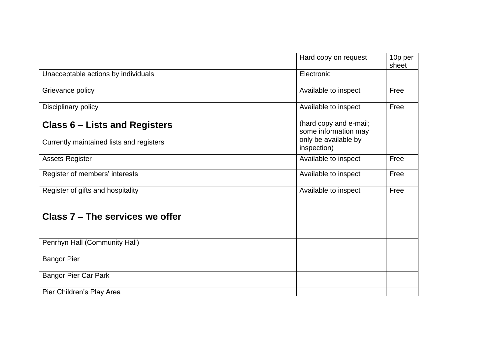|                                                                           | Hard copy on request                                                   | 10p per<br>sheet |
|---------------------------------------------------------------------------|------------------------------------------------------------------------|------------------|
| Unacceptable actions by individuals                                       | Electronic                                                             |                  |
| Grievance policy                                                          | Available to inspect                                                   | Free             |
| Disciplinary policy                                                       | Available to inspect                                                   | Free             |
| Class 6 – Lists and Registers<br>Currently maintained lists and registers | (hard copy and e-mail;<br>some information may<br>only be available by |                  |
|                                                                           | inspection)                                                            |                  |
| <b>Assets Register</b>                                                    | Available to inspect                                                   | Free             |
| Register of members' interests                                            | Available to inspect                                                   | Free             |
| Register of gifts and hospitality                                         | Available to inspect                                                   | Free             |
| Class 7 – The services we offer                                           |                                                                        |                  |
| Penrhyn Hall (Community Hall)                                             |                                                                        |                  |
| <b>Bangor Pier</b>                                                        |                                                                        |                  |
| <b>Bangor Pier Car Park</b>                                               |                                                                        |                  |
| Pier Children's Play Area                                                 |                                                                        |                  |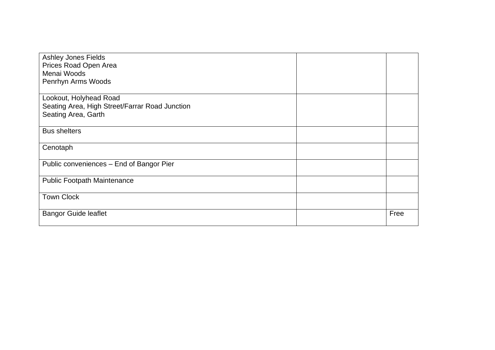| Ashley Jones Fields                            |      |
|------------------------------------------------|------|
| Prices Road Open Area                          |      |
| Menai Woods                                    |      |
| Penrhyn Arms Woods                             |      |
|                                                |      |
| Lookout, Holyhead Road                         |      |
| Seating Area, High Street/Farrar Road Junction |      |
| Seating Area, Garth                            |      |
|                                                |      |
| <b>Bus shelters</b>                            |      |
|                                                |      |
| Cenotaph                                       |      |
|                                                |      |
| Public conveniences - End of Bangor Pier       |      |
|                                                |      |
| <b>Public Footpath Maintenance</b>             |      |
|                                                |      |
| <b>Town Clock</b>                              |      |
|                                                |      |
| <b>Bangor Guide leaflet</b>                    | Free |
|                                                |      |